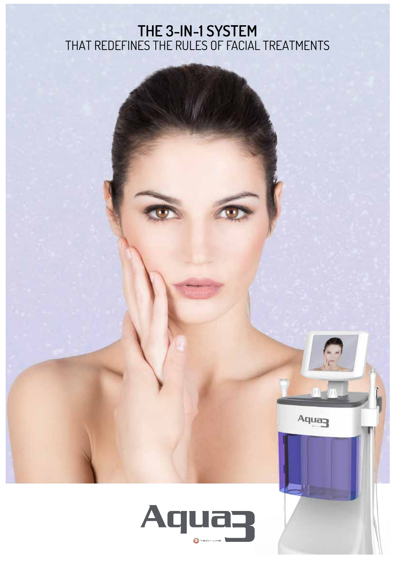#### **the 3-in-1 system** that redefines the rules of facial treatments



 $A$ qua $\rightarrow$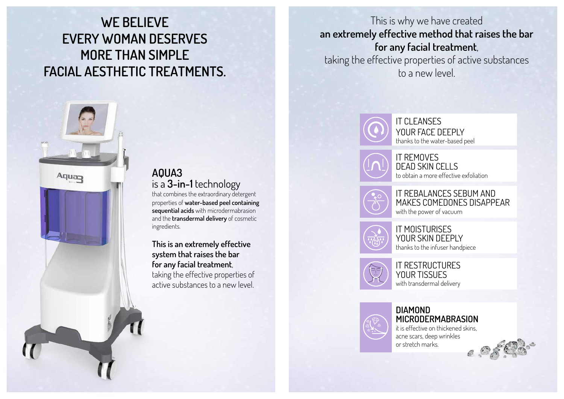# **AQUA3** is a **3-in-1** technology

that combines the extraordinary detergent properties of **water-based peel containing sequential acids** with microdermabrasion and the **transdermal delivery** of cosmetic ingredients.

**This is an extremely effective system that raises the bar for any facial treatment**, taking the effective properties of active substances to a new level.





your face deeply thanks to the water-based peel

it removes dead skin cells to obtain a more effective exfoliation



# it rebalances sebum and makes comedones disappear

with the power of vacuum



it moisturises



your skin deeply thanks to the infuser handpiece

it restructures YOUR TISSUES with transdermal delivery



# **DIAMOND**

**MICRODERMABRASION** it is effective on thickened skins, acne scars, deep wrinkles or stretch marks.

# **WE BELIEVE EVERY WOMAN DESERVES MORE THAN SIMPLE FACIAL AESTHETIC TREATMENTS.**



This is why we have created **an extremely effective method that raises the bar for any facial treatment**, taking the effective properties of active substances to a new level.

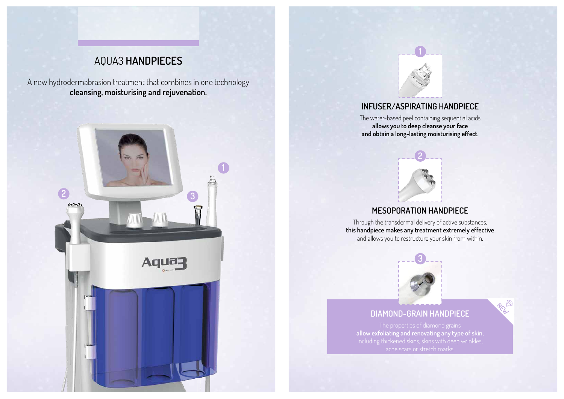## **Infuser/aspirating handpiece**

The water-based peel containing sequential acids **allows you to deep cleanse your face and obtain a long-lasting moisturising effect.**

## **Mesoporation Handpiece**

**allow exfoliating and renovating any type of skin,** including thickened skins, skins with deep wrinkles,





Through the transdermal delivery of active substances, **this handpiece makes any treatment extremely effective** and allows you to restructure your skin from within.

### **Diamond-Grain Handpiece**



# AQUA3 **Handpieces**

A new hydrodermabrasion treatment that combines in one technology **cleansing, moisturising and rejuvenation.** 







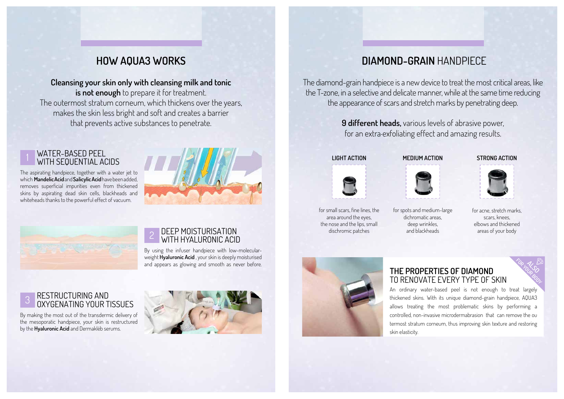# **How AQUA3 Works**

**Cleansing your skin only with cleansing milk and tonic** is not enough to prepare it for treatment. The outermost stratum corneum, which thickens over the years, makes the skin less bright and soft and creates a barrier that prevents active substances to penetrate.

#### WATER-BASED PEEL WITH SEQUENTIAL ACIDS

The aspirating handpiece, together with a water jet to which **Mandelic Acid** and**Salicylic Acid** have been added, removes superficial impurities even from thickened skins by aspirating dead skin cells, blackheads and whiteheads thanks to the powerful effect of vacuum.





# 2 DEEP MOISTURISATION<br>2 WITH HYALURONIC A

#### RESTRUCTURING AND OXYGENATING YOUR TISSUES

By using the infuser handpiece with low-molecularweight **Hyaluronic Acid** , your skin is deeply moisturised and appears as glowing and smooth as never before.

By making the most out of the transdermic delivery of the mesoporatic handpiece, your skin is restructured by the **Hyaluronic Acid** and Dermakléb serums.



#### **the properties of diamond**  to renovate every type of skin

An ordinary water-based peel is not enough to treat largely thickened skins. With its unique diamond-grain handpiece, AQUA3 allows treating the most problematic skins by performing a controlled, non-invasive microdermabrasion that can remove the ou termost stratum corneum, thus improving skin texture and restoring

skin elasticity.



**also for your body**

# **diamond-grain** handpiece

The diamond-grain handpiece is a new device to treat the most critical areas, like the T-zone, in a selective and delicate manner, while at the same time reducing the appearance of scars and stretch marks by penetrating deep.

> **9 different heads,** various levels of abrasive power, for an extra-exfoliating effect and amazing results.









for acne, stretch marks, scars, knees, elbows and thickened areas of your body

for spots and medium-large dichromatic areas, deep wrinkles, and blackheads



for small scars, fine lines, the area around the eyes, the nose and the lips, small dischromic patches

#### **LIGHT ACTION MEDIUM ACTION STRONG ACTION**

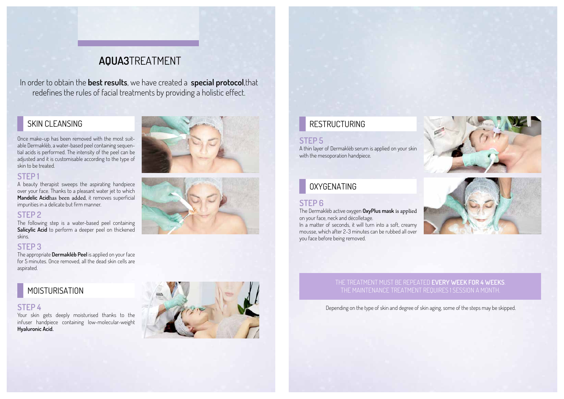# **AQUA3**treatment

In order to obtain the **best results**, we have created a **special protocol**,that redefines the rules of facial treatments by providing a holistic effect.

Once make-up has been removed with the most suitable Dermakléb, a water-based peel containing sequential acids is performed. The intensity of the peel can be adjusted and it is customisable according to the type of skin to be treated.

#### **STEP 1**

A beauty therapist sweeps the aspirating handpiece over your face. Thanks to a pleasant water jet to which **Mandelic Acid**has been added, it removes superficial impurities in a delicate but firm manner.

#### **STEP 2**

The following step is a water-based peel containing **Salicylic Acid** to perform a deeper peel on thickened skins.

#### **STEP 3**

The appropriate **Dermakléb Peel** is applied on your face for 5 minutes. Once removed, all the dead skin cells are aspirated.

### **MOISTURISATION**

### SKIN CLEANSING

#### **STEP 4**

Your skin gets deeply moisturised thanks to the infuser handpiece containing low-molecular-weight **Hyaluronic Acid.**







#### **STEP 5**

A thin layer of Dermakléb serum is applied on your skin with the mesoporation handpiece.

## RESTRUCTURING

#### **STEP 6**

The Dermakléb active oxygen **OxyPlus mask** is applied on your face, neck and décolletage.

In a matter of seconds, it will turn into a soft, creamy mousse, which after 2-3 minutes can be rubbed all over you face before being removed.

### OXYGENATING

Depending on the type of skin and degree of skin aging, some of the steps may be skipped.



#### The treatment must be repeated **every week for 4 weeks**. The maintenance treatment requires 1 session a month.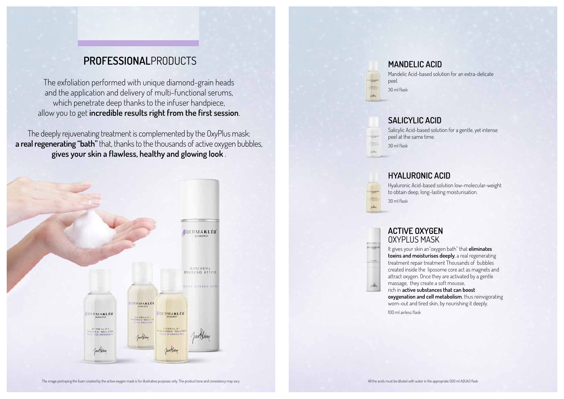Mandelic Acid-based solution for an extra-delicate



#### **active oxygen** oxyplus mask

It gives your skin an"oxygen bath" that **eliminates toxins and moisturises deeply**, a real regenerating treatment repair treatment Thousands of bubbles created inside the liposome core act as magnets and attract oxygen. Once they are activated by a gentle massage, they create a soft mousse,

rich in **active substances that can boost oxygenation and cell metabolism**, thus reinvigorating worn-out and tired skin, by nourishing it deeply.

100 ml airless flask

# **professional**products

The exfoliation performed with unique diamond-grain heads and the application and delivery of multi-functional serums, which penetrate deep thanks to the infuser handpiece, allow you to get **incredible results right from the first session**.

The deeply rejuvenating treatment is complemented by the OxyPlus mask: **a real regenerating "bath"** that, thanks to the thousands of active oxygen bubbles, **gives your skin a flawless, healthy and glowing look** .



#### **Salicylic Acid**

Salicylic Acid-based solution for a gentle, yet intense

peel at the same time. **SAMAR** Web-30 ml flask

#### **Hyaluronic Acid**

Hyaluronic Acid-based solution low-molecular-weight to obtain deep, long-lasting moisturisation.

30 ml flask

- -**ELEVANTE** 

**ANTIQUES** 

 $\frac{1}{\sqrt{2}}$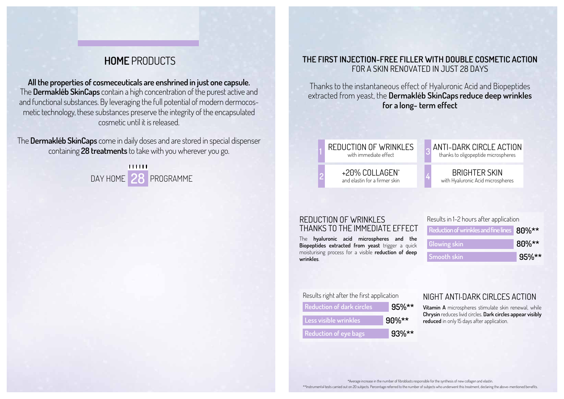# **home** products

**All the properties of cosmeceuticals are enshrined in just one capsule.** The **Dermakléb SkinCaps** contain a high concentration of the purest active and and functional substances. By leveraging the full potential of modern dermocosmetic technology, these substances preserve the integrity of the encapsulated cosmetic until it is released.

The **Dermakléb SkinCaps** come in daily doses and are stored in special dispenser containing **28 treatments** to take with you wherever you go.

> **HHH <sup>4</sup>** Day Home **28** Programme

#### reduction of wrinkles

with immediate effect

+20% collagen\* and elastin for a firmer skin

**1**

**2**

#### **THE FIRST INJECTION-FREE FILLER WITH DOUBLE COSMETIC ACTION** FOR A SKIN RENOVATED IN JUST 28 DAYS

Thanks to the instantaneous effect of Hyaluronic Acid and Biopeptides extracted from yeast, the **Dermakléb SkinCaps reduce deep wrinkles for a long- term effect**



The **hyaluronic acid microspheres and the Biopeptides extracted from yeast** trigger a quick moisturising process for a visible **reduction of deep wrinkles**.

#### REDUCTION OF WRINKLES THANKS TO THE IMMEDIATE EFFECT

**Vitamin A** microspheres stimulate skin renewal, while **Chrysin** reduces livid circles. **Dark circles appear visibly reduced** in only 15 days after application.

#### NIGHT ANTI-DARK CIRLCES ACTION

| Results right after the first application |          |
|-------------------------------------------|----------|
| <b>Reduction of dark circles</b>          | $95\%**$ |
| Less visible wrinkles                     | $90\%**$ |
| <b>Reduction of eye bags</b>              | $93\%**$ |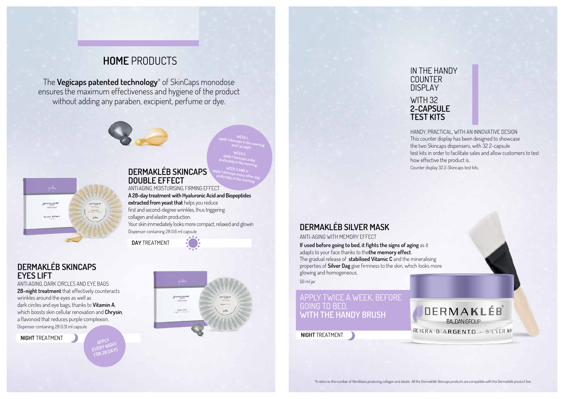# **dermakléb SILVER MASK**

ANTI-AGING WITH MEMORY EFFECT

**If used before going to bed, it fights the signs of aging** as it adapts to your face thanks to the**the memory effect**. The gradual release of **stabilised Vitamic C** and the mineralising properties of **Silver Dag** give firmness to the skin, which looks more glowing and homogeneous.

50 ml jar

# **home** products

The **Vegicaps patented technology**® of SkinCaps monodose ensures the maximum effectiveness and hygiene of the product without adding any paraben, excipient, perfume or dye.





#### **dermakléb skincaps double effect**

ANTI-AGING, MOISTURISING, FIRMING EFFECT **A 28-day treatment with Hyaluronic Acid and Biopeptides extracted from yeast that** helps you reduce first and second-degree wrinkles, thus triggering collagen and elastin production. Your skin immediately looks more compact, relaxed and glowin Dispenser containing 28 0.6 ml capsule

#### **dermakléb skincaps eyes lift**

ANTI-AGING, DARK CIRCLES AND EYE BAGS **28-night treatment** that effectively counteracts wrinkles around the eyes as well as dark circles and eye bags, thanks to **Vitamin A**, which boosts skin cellular renovation and **Chrysin**, a flavonoid that reduces purple complexion. Dispenser containing 28 0.31 ml capsule

#### APPLY TWICE A WEEK, before going to bed, **with the handy brush**

**night** treatment





**night** treatment

HANDY, PRACTICAL, WITH AN INNOVATIVE DESIGN This counter display has been designed to showcase the two Skincaps dispensers, with 32 2-capsule test kits in order to facilitate sales and allow customers to test how effective the product is. Counter display 32 2-Skincaps test kits.



**ISCHERA D'ARGENTO - SILVERMA** 

# IN THE HANDY COUNTER **2-CAPSULE TEST KITS**

DISPLAY WITH 32

**apply 1 skincaps in the morning WEEK 1:**

**and 1 at night WEEK 2: apply 1 skincaps a day preferably in the morning.**

**apply 1 skincaps every other day, WEEK 3 AND 4:** 

**preferably in the morning.** 

**Apply EVERY NIGHT for 28 days**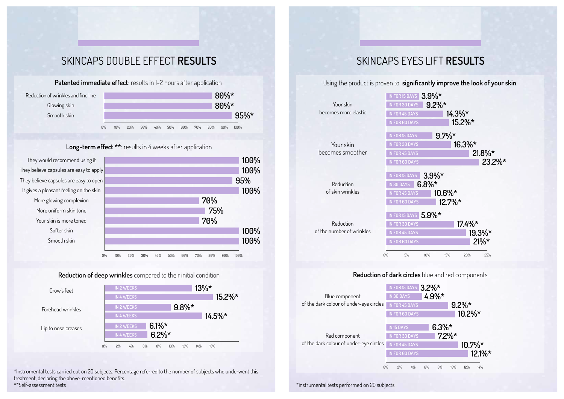Reduction of wrinkles and fine line Glowing skin Smooth skin



**Long-term effect \*\*:** results in 4 weeks after application

# skincaps double effect **results**

**Patented immediate effect:** results in 1-2 hours after application





#### **Reduction of deep wrinkles** compared to their initial condition



# skincaps eyes lift **results**

Using the product is proven to **significantly improve the look of your skin**.

|                           |    |  |            | IN FOR 15 DAYS <b>3</b> |     |    |
|---------------------------|----|--|------------|-------------------------|-----|----|
| Your skin                 |    |  |            | <b>IN FOR 30 DAYS</b>   |     |    |
| becomes more elastic      |    |  |            | IN FOR 45 DAYS          |     |    |
|                           |    |  |            | <b>IN FOR 60 DAYS</b>   |     |    |
|                           |    |  |            |                         |     |    |
|                           |    |  |            | IN FOR 15 DAYS          |     |    |
| Your skin                 |    |  |            | <b>IN FOR 30 DAYS</b>   |     |    |
| becomes smoother          |    |  |            | <b>IN FOR 45 DAYS</b>   |     |    |
|                           |    |  |            | <b>IN FOR 60 DAYS</b>   |     |    |
|                           |    |  |            |                         |     |    |
|                           |    |  |            | IN FOR 15 DAYS          |     |    |
| Reduction                 |    |  | IN 30 DAYS |                         | 6.8 |    |
| of skin wrinkles          |    |  |            | <b>IN FOR 45 DAYS</b>   |     |    |
|                           |    |  |            | <b>IN FOR 60 DAYS</b>   |     |    |
|                           |    |  |            |                         |     |    |
|                           |    |  |            | IN FOR 15 DAYS 5        |     |    |
| Reduction                 |    |  |            | <b>IN FOR 30 DAYS</b>   |     |    |
| of the number of wrinkles |    |  |            | <b>IN FOR 45 DAYS</b>   |     |    |
|                           |    |  |            | <b>IN FOR 60 DAYS</b>   |     |    |
|                           |    |  |            |                         |     |    |
|                           | 0% |  | 5%         |                         |     | 10 |
|                           |    |  |            |                         |     |    |
|                           |    |  |            |                         |     |    |



#### **Reduction of dark circles** blue and red components

| Blue component                                           | IN FOR 15 DAYS $3.2\%*$<br>IN 30 DAYS      |          | $4.9\%*$             |           |                       |
|----------------------------------------------------------|--------------------------------------------|----------|----------------------|-----------|-----------------------|
| of the dark colour of under-eye circles                  | IN FOR 45 DAYS                             |          |                      | $9.2\%*$  |                       |
|                                                          | <b>IN FOR 60 DAYS</b>                      |          |                      | $10.2\%*$ |                       |
|                                                          | <b>IN 15 DAYS</b><br><b>IN FOR 30 DAYS</b> |          | $6.3\%*$<br>$7.2\%*$ |           |                       |
| Red component<br>of the dark colour of under-eye circles | IN FOR 45 DAYS                             |          |                      |           | $10.7\%$ <sup>*</sup> |
|                                                          | <b>IN FOR 60 DAYS</b>                      |          |                      |           | 12.1 <sup>0</sup>     |
| 0%                                                       | 2%                                         | 4%<br>6% | 10%<br>8%            | 12%       | 14%                   |
|                                                          |                                            |          |                      |           |                       |

\*Instrumental tests carried out on 20 subjects. Percentage referred to the number of subjects who underwent this treatment, declaring the above-mentioned benefits. \*\*Self-assessment tests \*instrumental tests performed on 20 subjects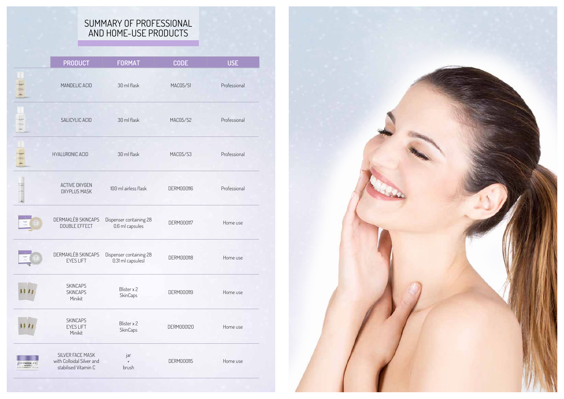### SUMMARY OF P AND HOME-USE P

|                               | <b>PRODUCT</b>                                                        | <b>FORMAT</b>                                | <b>CODE</b>       | <b>USE</b>   |
|-------------------------------|-----------------------------------------------------------------------|----------------------------------------------|-------------------|--------------|
|                               | MANDELIC ACID                                                         | 30 ml flask                                  | MAC05/S1          | Professional |
|                               | SALICYLIC ACID                                                        | 30 ml flask                                  | MAC05/S2          | Professional |
|                               | <b>HYALURONIC ACID</b>                                                | 30 ml flask                                  | MAC05/S3          | Professional |
|                               | <b>ACTIVE OXYGEN</b><br><b>OXYPLUS MASK</b>                           | 100 ml airless flask                         | <b>DERM000116</b> | Professional |
|                               | DERMAKLÉB SKINCAPS<br><b>DOUBLE EFFECT</b>                            | Dispenser containing 28<br>0.6 ml capsules   | DERM000117        | Home use     |
|                               | DERMAKLÉB SKINCAPS<br><b>EYES LIFT</b>                                | Dispenser containing 28<br>0.31 ml capsulesl | <b>DERM000118</b> | Home use     |
|                               | <b>SKINCAPS</b><br><b>SKINCAPS</b><br>Minikit                         | Blister x 2<br>SkinCaps                      | DERM000119        | Home use     |
|                               | <b>SKINCAPS</b><br><b>EYES LIFT</b><br>Minikit                        | Blister x 2<br>SkinCaps                      | DERM000120        | Home use     |
| BERMAKLEE<br>LABOR IN T. III. | SILVER FACE MASK<br>with Colloidal Silver and<br>stabilised Vitamin C | jar<br>$^{+}$<br>brush                       | <b>DERM000115</b> | Home use     |